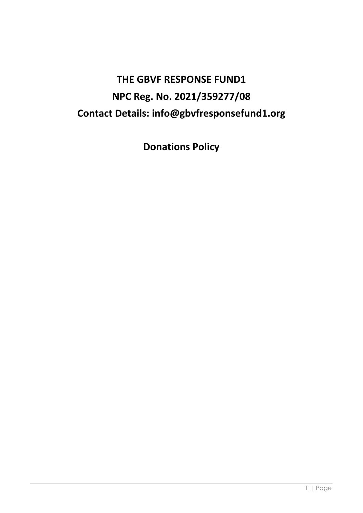# **THE GBVF RESPONSE FUND1 NPC Reg. No. 2021/359277/08 Contact Details: info@gbvfresponsefund1.org**

**Donations Policy**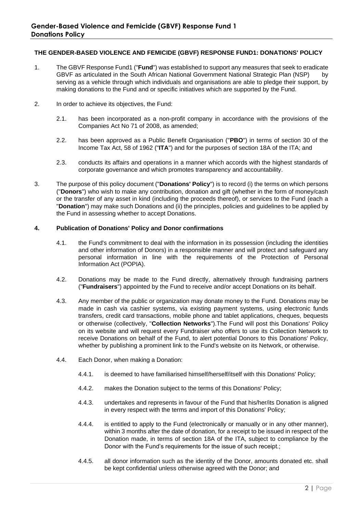## **THE GENDER-BASED VIOLENCE AND FEMICIDE (GBVF) RESPONSE FUND1: DONATIONS' POLICY**

- 1. The GBVF Response Fund1 ("**Fund**") was established to support any measures that seek to eradicate GBVF as articulated in the South African National Government National Strategic Plan (NSP) by serving as a vehicle through which individuals and organisations are able to pledge their support, by making donations to the Fund and or specific initiatives which are supported by the Fund.
- 2. In order to achieve its objectives, the Fund:
	- 2.1. has been incorporated as a non-profit company in accordance with the provisions of the Companies Act No 71 of 2008, as amended;
	- 2.2. has been approved as a Public Benefit Organisation ("**PBO**") in terms of section 30 of the Income Tax Act, 58 of 1962 ("**ITA**") and for the purposes of section 18A of the ITA; and
	- 2.3. conducts its affairs and operations in a manner which accords with the highest standards of corporate governance and which promotes transparency and accountability.
- 3. The purpose of this policy document ("**Donations' Policy**") is to record (i) the terms on which persons ("**Donors**") who wish to make any contribution, donation and gift (whether in the form of money/cash or the transfer of any asset in kind (including the proceeds thereof), or services to the Fund (each a "**Donation**") may make such Donations and (ii) the principles, policies and guidelines to be applied by the Fund in assessing whether to accept Donations.

## **4. Publication of Donations' Policy and Donor confirmations**

- 4.1. the Fund's commitment to deal with the information in its possession (including the identities and other information of Donors) in a responsible manner and will protect and safeguard any personal information in line with the requirements of the Protection of Personal Information Act (POPIA).
- 4.2. Donations may be made to the Fund directly, alternatively through fundraising partners ("**Fundraisers**") appointed by the Fund to receive and/or accept Donations on its behalf.
- 4.3. Any member of the public or organization may donate money to the Fund. Donations may be made in cash via cashier systems, via existing payment systems, using electronic funds transfers, credit card transactions, mobile phone and tablet applications, cheques, bequests or otherwise (collectively, "**Collection Networks**").The Fund will post this Donations' Policy on its website and will request every Fundraiser who offers to use its Collection Network to receive Donations on behalf of the Fund, to alert potential Donors to this Donations' Policy, whether by publishing a prominent link to the Fund's website on its Network, or otherwise.
- 4.4. Each Donor, when making a Donation:
	- 4.4.1. is deemed to have familiarised himself/herself/itself with this Donations' Policy;
	- 4.4.2. makes the Donation subject to the terms of this Donations' Policy;
	- 4.4.3. undertakes and represents in favour of the Fund that his/her/its Donation is aligned in every respect with the terms and import of this Donations' Policy;
	- 4.4.4. is entitled to apply to the Fund (electronically or manually or in any other manner), within 3 months after the date of donation, for a receipt to be issued in respect of the Donation made, in terms of section 18A of the ITA, subject to compliance by the Donor with the Fund's requirements for the issue of such receipt.;
	- 4.4.5. all donor information such as the identity of the Donor, amounts donated etc. shall be kept confidential unless otherwise agreed with the Donor; and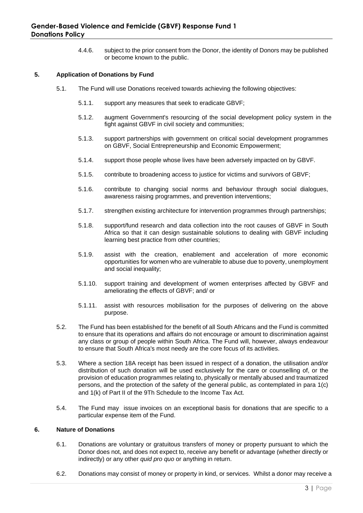4.4.6. subject to the prior consent from the Donor, the identity of Donors may be published or become known to the public.

# **5. Application of Donations by Fund**

- 5.1. The Fund will use Donations received towards achieving the following objectives:
	- 5.1.1. support any measures that seek to eradicate GBVF;
	- 5.1.2. augment Government's resourcing of the social development policy system in the fight against GBVF in civil society and communities;
	- 5.1.3. support partnerships with government on critical social development programmes on GBVF, Social Entrepreneurship and Economic Empowerment;
	- 5.1.4. support those people whose lives have been adversely impacted on by GBVF.
	- 5.1.5. contribute to broadening access to justice for victims and survivors of GBVF;
	- 5.1.6. contribute to changing social norms and behaviour through social dialogues, awareness raising programmes, and prevention interventions;
	- 5.1.7. strengthen existing architecture for intervention programmes through partnerships;
	- 5.1.8. support/fund research and data collection into the root causes of GBVF in South Africa so that it can design sustainable solutions to dealing with GBVF including learning best practice from other countries;
	- 5.1.9. assist with the creation, enablement and acceleration of more economic opportunities for women who are vulnerable to abuse due to poverty, unemployment and social inequality;
	- 5.1.10. support training and development of women enterprises affected by GBVF and ameliorating the effects of GBVF; and/ or
	- 5.1.11. assist with resources mobilisation for the purposes of delivering on the above purpose.
- 5.2. The Fund has been established for the benefit of all South Africans and the Fund is committed to ensure that its operations and affairs do not encourage or amount to discrimination against any class or group of people within South Africa. The Fund will, however, always endeavour to ensure that South Africa's most needy are the core focus of its activities.
- 5.3. Where a section 18A receipt has been issued in respect of a donation, the utilisation and/or distribution of such donation will be used exclusively for the care or counselling of, or the provision of education programmes relating to, physically or mentally abused and traumatized persons, and the protection of the safety of the general public, as contemplated in para 1(c) and 1(k) of Part II of the 9Th Schedule to the Income Tax Act.
- 5.4. The Fund may issue invoices on an exceptional basis for donations that are specific to a particular expense item of the Fund.

### **6. Nature of Donations**

- 6.1. Donations are voluntary or gratuitous transfers of money or property pursuant to which the Donor does not, and does not expect to, receive any benefit or advantage (whether directly or indirectly) or any other *quid pro quo* or anything in return.
- 6.2. Donations may consist of money or property in kind, or services. Whilst a donor may receive a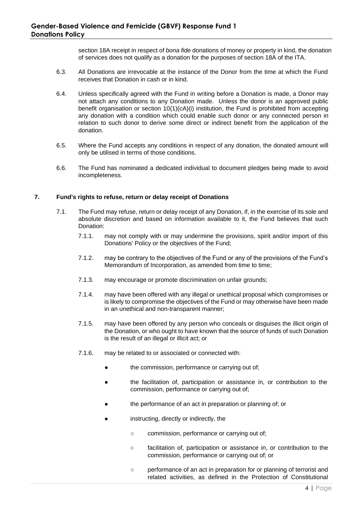section 18A receipt in respect of *bona fide* donations of money or property in kind, the donation of services does not qualify as a donation for the purposes of section 18A of the ITA.

- 6.3. All Donations are irrevocable at the instance of the Donor from the time at which the Fund receives that Donation in cash or in kind.
- 6.4. Unless specifically agreed with the Fund in writing before a Donation is made, a Donor may not attach any conditions to any Donation made. Unless the donor is an approved public benefit organisation or section 10(1)(cA)(i) institution, the Fund is prohibited from accepting any donation with a condition which could enable such donor or any connected person in relation to such donor to derive some direct or indirect benefit from the application of the donation.
- 6.5. Where the Fund accepts any conditions in respect of any donation, the donated amount will only be utilised in terms of those conditions.
- 6.6. The Fund has nominated a dedicated individual to document pledges being made to avoid incompleteness.

### **7. Fund's rights to refuse, return or delay receipt of Donations**

- 7.1. The Fund may refuse, return or delay receipt of any Donation, if, in the exercise of its sole and absolute discretion and based on information available to it, the Fund believes that such Donation:
	- 7.1.1. may not comply with or may undermine the provisions, spirit and/or import of this Donations' Policy or the objectives of the Fund;
	- 7.1.2. may be contrary to the objectives of the Fund or any of the provisions of the Fund's Memorandum of Incorporation, as amended from time to time;
	- 7.1.3. may encourage or promote discrimination on unfair grounds;
	- 7.1.4. may have been offered with any illegal or unethical proposal which compromises or is likely to compromise the objectives of the Fund or may otherwise have been made in an unethical and non-transparent manner;
	- 7.1.5. may have been offered by any person who conceals or disguises the illicit origin of the Donation, or who ought to have known that the source of funds of such Donation is the result of an illegal or illicit act; or
	- 7.1.6. may be related to or associated or connected with:
		- the commission, performance or carrying out of;
		- the facilitation of, participation or assistance in, or contribution to the commission, performance or carrying out of;
		- the performance of an act in preparation or planning of; or
		- instructing, directly or indirectly, the
			- commission, performance or carrying out of;
			- facilitation of, participation or assistance in, or contribution to the commission, performance or carrying out of; or
			- performance of an act in preparation for or planning of terrorist and related activities, as defined in the Protection of Constitutional